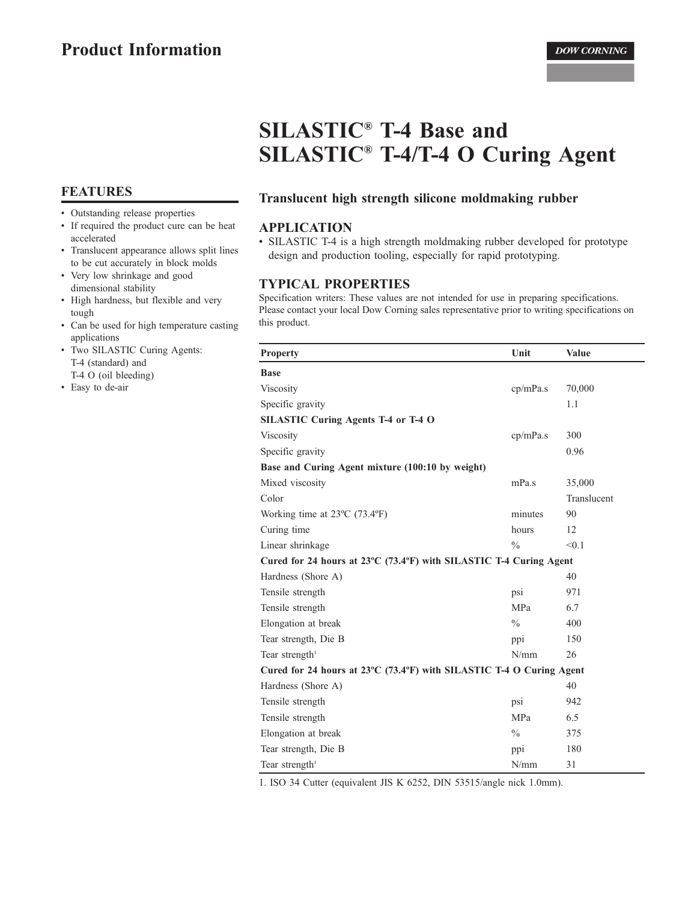# **SILASTIC<sup>®</sup>** T-4 Base and **SILASTIC<sup>®</sup> T-4/T-4 O Curing Agent**

## **FEATURES**

- Outstanding release properties
- If required the product cure can be heat accelerated
- Translucent appearance allows split lines to be cut accurately in block molds
- Very low shrinkage and good dimensional stability
- High hardness, but flexible and very tough
- Can be used for high temperature casting applications
- Two SILASTIC Curing Agents: T-4 (standard) and
- T-4 O (oil bleeding)
- Easy to de-air

## Translucent high strength silicone moldmaking rubber

#### **APPLICATION**

• SILASTIC T-4 is a high strength moldmaking rubber developed for prototype design and production tooling, especially for rapid prototyping.

#### **TYPICAL PROPERTIES**

Specification writers: These values are not intended for use in preparing specifications. Please contact your local Dow Corning sales representative prior to writing specifications on this product.

| <b>Property</b>                                                                              | Unit          | <b>Value</b> |
|----------------------------------------------------------------------------------------------|---------------|--------------|
| <b>Base</b>                                                                                  |               |              |
| Viscosity                                                                                    | cp/mPa.s      | 70,000       |
| Specific gravity                                                                             |               | 1.1          |
| <b>SILASTIC Curing Agents T-4 or T-4 O</b>                                                   |               |              |
| <b>Viscosity</b>                                                                             | cp/mPa.s      | 300          |
| Specific gravity                                                                             |               | 0.96         |
| Base and Curing Agent mixture (100:10 by weight)                                             |               |              |
| Mixed viscosity                                                                              | mPa.s         | 35,000       |
| Color                                                                                        |               | Translucent  |
| Working time at 23°C (73.4°F)                                                                | minutes       | 90           |
| Curing time                                                                                  | hours         | 12           |
| Linear shrinkage                                                                             | $\frac{0}{0}$ | < 0.1        |
| Cured for 24 hours at 23 <sup>o</sup> C (73.4 <sup>o</sup> F) with SILASTIC T-4 Curing Agent |               |              |
| Hardness (Shore A)                                                                           |               | 40           |
| Tensile strength                                                                             | psi           | 971          |
| Tensile strength                                                                             | <b>MPa</b>    | 6.7          |
| Elongation at break                                                                          | $\frac{0}{0}$ | 400          |
| Tear strength, Die B                                                                         | ppi           | 150          |
| Tear strength <sup>1</sup>                                                                   | N/mm          | 26           |
| Cured for 24 hours at $23^{\circ}C$ (73.4 $^{\circ}F$ ) with SILASTIC T-4 O Curing Agent     |               |              |
| Hardness (Shore A)                                                                           |               | 40           |
| Tensile strength                                                                             | psi           | 942          |
| Tensile strength                                                                             | <b>MPa</b>    | 6.5          |
| Elongation at break                                                                          | $\frac{0}{0}$ | 375          |
| Tear strength, Die B                                                                         | ppi           | 180          |
| Tear strength <sup>1</sup>                                                                   | N/mm          | 31           |

1. ISO 34 Cutter (equivalent JIS K 6252, DIN 53515/angle nick 1.0mm).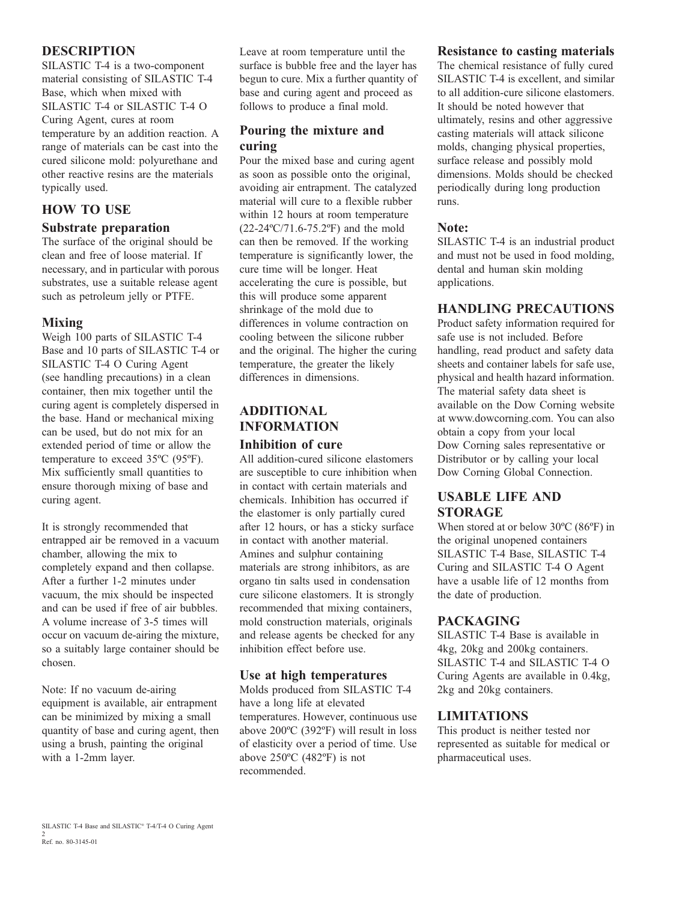#### **DESCRIPTION**

SILASTIC T-4 is a two-component material consisting of SILASTIC T-4 Base, which when mixed with SILASTIC T-4 or SILASTIC T-4 O Curing Agent, cures at room temperature by an addition reaction. A range of materials can be cast into the cured silicone mold: polyurethane and other reactive resins are the materials typically used.

## **HOW TO USE**

#### **Substrate preparation**

The surface of the original should be clean and free of loose material. If necessary, and in particular with porous substrates, use a suitable release agent such as petroleum jelly or PTFE.

#### **Mixing**

Weigh 100 parts of SILASTIC T-4 Base and 10 parts of SILASTIC T-4 or SILASTIC T-4 O Curing Agent (see handling precautions) in a clean container, then mix together until the curing agent is completely dispersed in the base. Hand or mechanical mixing can be used, but do not mix for an extended period of time or allow the temperature to exceed 35°C (95°F). Mix sufficiently small quantities to ensure thorough mixing of base and curing agent.

It is strongly recommended that entrapped air be removed in a vacuum chamber, allowing the mix to completely expand and then collapse. After a further 1-2 minutes under vacuum, the mix should be inspected and can be used if free of air bubbles. A volume increase of 3-5 times will occur on vacuum de-airing the mixture, so a suitably large container should be chosen

Note: If no vacuum de-airing equipment is available, air entrapment can be minimized by mixing a small quantity of base and curing agent, then using a brush, painting the original with a 1-2mm layer.

Leave at room temperature until the surface is bubble free and the laver has begun to cure. Mix a further quantity of base and curing agent and proceed as follows to produce a final mold.

## Pouring the mixture and curing

Pour the mixed base and curing agent as soon as possible onto the original, avoiding air entrapment. The catalyzed material will cure to a flexible rubber within 12 hours at room temperature  $(22-24\text{°C}/71.6-75.2\text{°F})$  and the mold can then be removed. If the working temperature is significantly lower, the cure time will be longer. Heat accelerating the cure is possible, but this will produce some apparent shrinkage of the mold due to differences in volume contraction on cooling between the silicone rubber and the original. The higher the curing temperature, the greater the likely differences in dimensions.

## **ADDITIONAL INFORMATION** Inhibition of cure

All addition-cured silicone elastomers are susceptible to cure inhibition when in contact with certain materials and chemicals. Inhibition has occurred if the elastomer is only partially cured after 12 hours, or has a sticky surface in contact with another material. Amines and sulphur containing materials are strong inhibitors, as are organo tin salts used in condensation cure silicone elastomers. It is strongly recommended that mixing containers, mold construction materials, originals and release agents be checked for any inhibition effect before use

#### Use at high temperatures

Molds produced from SILASTIC T-4 have a long life at elevated temperatures. However, continuous use above 200°C (392°F) will result in loss of elasticity over a period of time. Use above  $250^{\circ}$ C (482°F) is not recommended.

#### **Resistance to casting materials**

The chemical resistance of fully cured SILASTIC T-4 is excellent, and similar to all addition-cure silicone elastomers. It should be noted however that ultimately, resins and other aggressive casting materials will attack silicone molds, changing physical properties, surface release and possibly mold dimensions. Molds should be checked periodically during long production runs

#### Note:

SILASTIC T-4 is an industrial product and must not be used in food molding, dental and human skin molding applications.

#### **HANDLING PRECAUTIONS**

Product safety information required for safe use is not included. Before handling, read product and safety data sheets and container labels for safe use. physical and health hazard information. The material safety data sheet is available on the Dow Corning website at www.dowcorning.com. You can also obtain a copy from your local Dow Corning sales representative or Distributor or by calling your local Dow Corning Global Connection.

## **USABLE LIFE AND STORAGE**

When stored at or below 30°C (86°F) in the original unopened containers SILASTIC T-4 Base, SILASTIC T-4 Curing and SILASTIC T-4 O Agent have a usable life of 12 months from the date of production.

#### **PACKAGING**

SILASTIC T-4 Base is available in 4kg, 20kg and 200kg containers. SILASTIC T-4 and SILASTIC T-4 O Curing Agents are available in 0.4kg, 2kg and 20kg containers.

#### **LIMITATIONS**

This product is neither tested nor represented as suitable for medical or pharmaceutical uses.